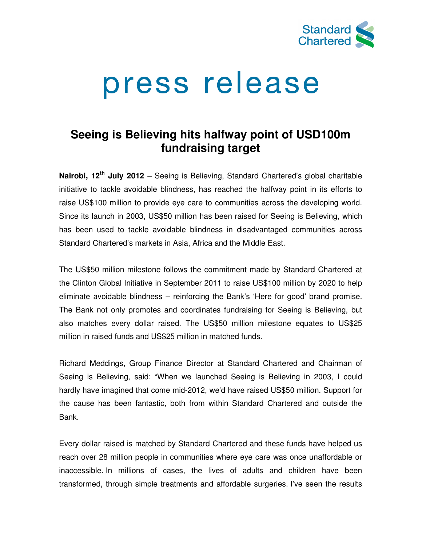

# press release

# **Seeing is Believing hits halfway point of USD100m Seeing is Believing fundraising target**

Nairobi, 12<sup>th</sup> July 2012 – Seeing is Believing, Standard Chartered's global charitable initiative to tackle avoidable blindness, has reached the halfway point in its efforts to raise US\$100 million to provide eye care to communities across the developing world. Since its launch in 2003, US\$50 million has been raised for Seeing is Believing Since its launch in 2003, US\$50 million has been raised for Seeing is Believing, which<br>has been used to tackle avoidable blindness in disadvantaged communities across Standard Chartered's markets in Asia, Africa and the Middle East. has been used to tackle avoidable blindness in disadvantaged communities across<br>Standard Chartered's markets in Asia, Africa and the Middle East.<br>The US\$50 million milestone follows the commitment made by Standard Chartere ng, Standard Chartered's global charitable<br>reached the halfway point in its efforts to<br>communities across the developing world.<br>been raised for Seeing is Believing, which

the Clinton Global Initiative in September 2011 to raise US\$100 million by 2020 to help eliminate avoidable blindness – reinforcing the Bank's 'Here for good' brand promise. The Bank not only promotes and coordinates fundraising for Seeing is Believing, but also matches every dollar raised. The US\$50 million milestone equates to US\$25 million in raised funds and US\$25 million in matched funds.

Richard Meddings, Group Finance Director at Standard Chartered and Chairman of Richard Meddings, Group Finance Director at Standard Chartered and Chairman of<br>Seeing is Believing, said: "When we launched Seeing is Believing in 2003, I could hardly have imagined that come mid-2012, we'd have raised US\$50 million. Support for the cause has been fantastic, both from within Standard Chartered and outside the Bank.

Every dollar raised is matched by Standard Chartered and these funds have helped us reach over 28 million people in communities where eye care was once unaffordable or inaccessible. In millions of cases, the lives of adults and children have been reach over 28 million people in communities where eye care was once unaffordable or<br>inaccessible. In millions of cases, the lives of adults and children have been<br>transformed, through simple treatments and affordable surge ined that come mid-2012, we'd have raised US\$50 million. Support for<br>een fantastic, both from within Standard Chartered and outside the<br>dis matched by Standard Chartered and these funds have helped us<br>llion people in commu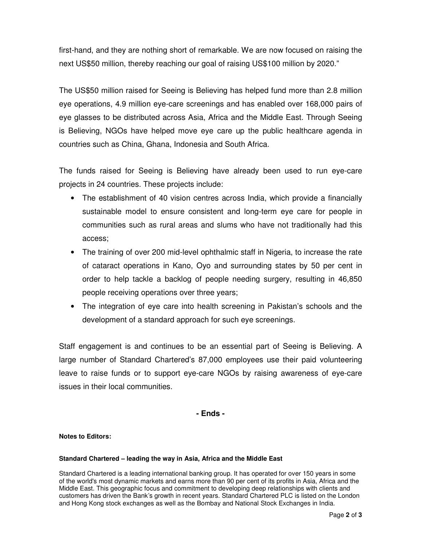first-hand, and they are nothing short of remarkable. We are now focused on raising the next US\$50 million, thereby reaching our goal of raising US\$100 million by 2020."

The US\$50 million raised for Seeing is Believing has helped fund more than 2.8 million eye operations, 4.9 million eye-care screenings and has enabled over 168,000 pairs of eye glasses to be distributed across Asia, Africa and the Middle East. Through Seeing is Believing, NGOs have helped move eye care up the public healthcare agenda in countries such as China, Ghana, Indonesia and South Africa.

The funds raised for Seeing is Believing have already been used to run eye-care projects in 24 countries. These projects include:

- The establishment of 40 vision centres across India, which provide a financially sustainable model to ensure consistent and long-term eye care for people in communities such as rural areas and slums who have not traditionally had this access;
- The training of over 200 mid-level ophthalmic staff in Nigeria, to increase the rate of cataract operations in Kano, Oyo and surrounding states by 50 per cent in order to help tackle a backlog of people needing surgery, resulting in 46,850 people receiving operations over three years;
- The integration of eye care into health screening in Pakistan's schools and the development of a standard approach for such eye screenings.

Staff engagement is and continues to be an essential part of Seeing is Believing. A large number of Standard Chartered's 87,000 employees use their paid volunteering leave to raise funds or to support eye-care NGOs by raising awareness of eye-care issues in their local communities.

# **- Ends -**

## **Notes to Editors:**

### **Standard Chartered – leading the way in Asia, Africa and the Middle East**

Standard Chartered is a leading international banking group. It has operated for over 150 years in some of the world's most dynamic markets and earns more than 90 per cent of its profits in Asia, Africa and the Middle East. This geographic focus and commitment to developing deep relationships with clients and customers has driven the Bank's growth in recent years. Standard Chartered PLC is listed on the London and Hong Kong stock exchanges as well as the Bombay and National Stock Exchanges in India.